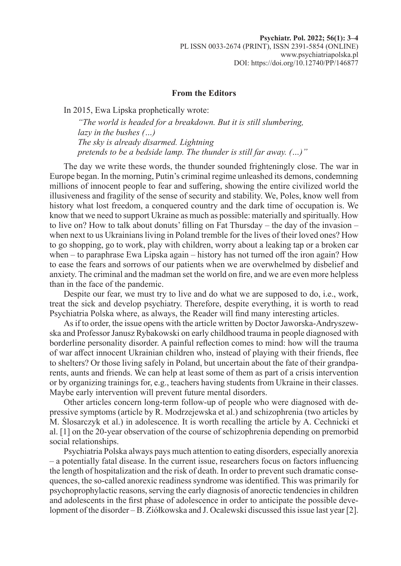## **From the Editors**

In 2015, Ewa Lipska prophetically wrote:

*"The world is headed for a breakdown. But it is still slumbering, lazy in the bushes (…) The sky is already disarmed. Lightning pretends to be a bedside lamp. The thunder is still far away. (…)"*

The day we write these words, the thunder sounded frighteningly close. The war in Europe began. In the morning, Putin's criminal regime unleashed its demons, condemning millions of innocent people to fear and suffering, showing the entire civilized world the illusiveness and fragility of the sense of security and stability. We, Poles, know well from history what lost freedom, a conquered country and the dark time of occupation is. We know that we need to support Ukraine as much as possible: materially and spiritually. How to live on? How to talk about donuts' filling on Fat Thursday – the day of the invasion – when next to us Ukrainians living in Poland tremble for the lives of their loved ones? How to go shopping, go to work, play with children, worry about a leaking tap or a broken car when – to paraphrase Ewa Lipska again – history has not turned off the iron again? How to ease the fears and sorrows of our patients when we are overwhelmed by disbelief and anxiety. The criminal and the madman set the world on fire, and we are even more helpless than in the face of the pandemic.

Despite our fear, we must try to live and do what we are supposed to do, i.e., work, treat the sick and develop psychiatry. Therefore, despite everything, it is worth to read Psychiatria Polska where, as always, the Reader will find many interesting articles.

As if to order, the issue opens with the article written by Doctor Jaworska-Andryszewska and Professor Janusz Rybakowski on early childhood trauma in people diagnosed with borderline personality disorder. A painful reflection comes to mind: how will the trauma of war affect innocent Ukrainian children who, instead of playing with their friends, flee to shelters? Or those living safely in Poland, but uncertain about the fate of their grandparents, aunts and friends. We can help at least some of them as part of a crisis intervention or by organizing trainings for, e.g., teachers having students from Ukraine in their classes. Maybe early intervention will prevent future mental disorders.

Other articles concern long-term follow-up of people who were diagnosed with depressive symptoms (article by R. Modrzejewska et al.) and schizophrenia (two articles by M. Ślosarczyk et al.) in adolescence. It is worth recalling the article by A. Cechnicki et al. [1] on the 20-year observation of the course of schizophrenia depending on premorbid social relationships.

Psychiatria Polska always pays much attention to eating disorders, especially anorexia – a potentially fatal disease. In the current issue, researchers focus on factors influencing the length of hospitalization and the risk of death. In order to prevent such dramatic consequences, the so-called anorexic readiness syndrome was identified. This was primarily for psychoprophylactic reasons, serving the early diagnosis of anorectic tendencies in children and adolescents in the first phase of adolescence in order to anticipate the possible development of the disorder – B. Ziółkowska and J. Ocalewski discussed this issue last year [2].